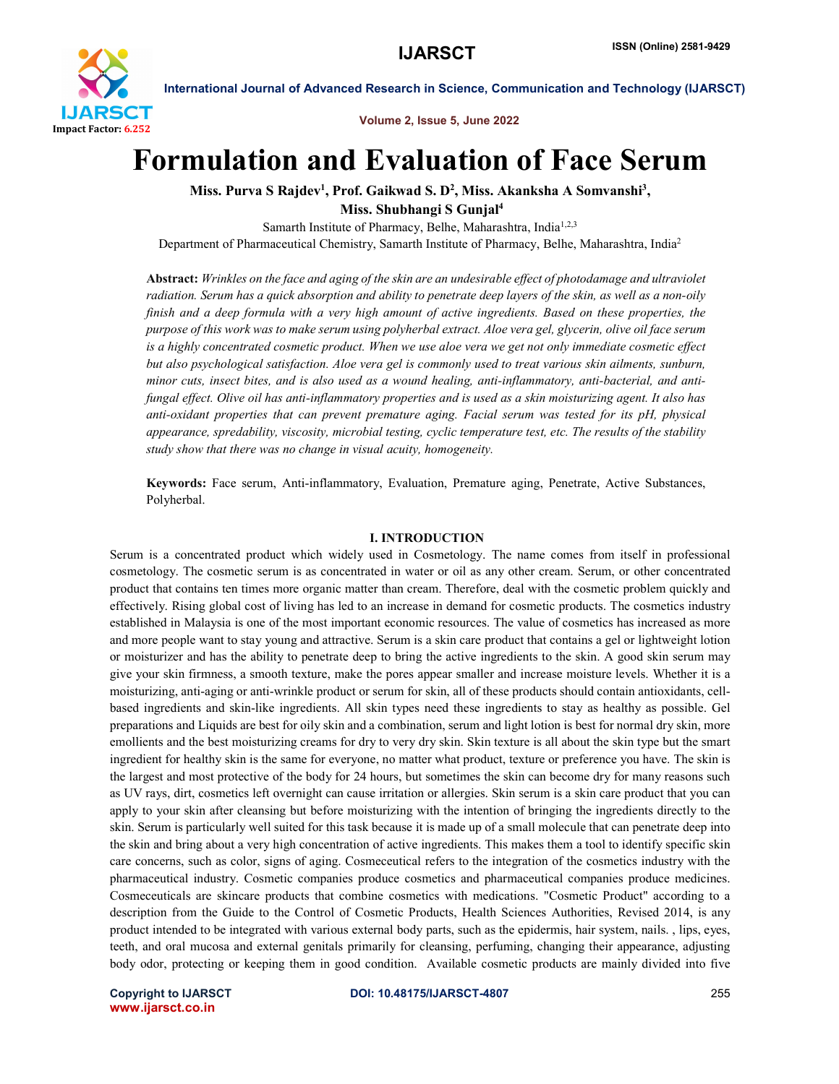

Volume 2, Issue 5, June 2022

# Formulation and Evaluation of Face Serum

Miss. Purva S Rajdev<sup>1</sup>, Prof. Gaikwad S. D<sup>2</sup>, Miss. Akanksha A Somvanshi<sup>3</sup>, Miss. Shubhangi S Gunjal4

Samarth Institute of Pharmacy, Belhe, Maharashtra, India<sup>1,2,3</sup> Department of Pharmaceutical Chemistry, Samarth Institute of Pharmacy, Belhe, Maharashtra, India2

Abstract: *Wrinkles on the face and aging of the skin are an undesirable effect of photodamage and ultraviolet radiation. Serum has a quick absorption and ability to penetrate deep layers of the skin, as well as a non-oily finish and a deep formula with a very high amount of active ingredients. Based on these properties, the purpose of this work was to make serum using polyherbal extract. Aloe vera gel, glycerin, olive oil face serum is a highly concentrated cosmetic product. When we use aloe vera we get not only immediate cosmetic effect but also psychological satisfaction. Aloe vera gel is commonly used to treat various skin ailments, sunburn, minor cuts, insect bites, and is also used as a wound healing, anti-inflammatory, anti-bacterial, and antifungal effect. Olive oil has anti-inflammatory properties and is used as a skin moisturizing agent. It also has anti-oxidant properties that can prevent premature aging. Facial serum was tested for its pH, physical appearance, spredability, viscosity, microbial testing, cyclic temperature test, etc. The results of the stability study show that there was no change in visual acuity, homogeneity.*

Keywords: Face serum, Anti-inflammatory, Evaluation, Premature aging, Penetrate, Active Substances, Polyherbal.

#### I. INTRODUCTION

Serum is a concentrated product which widely used in Cosmetology. The name comes from itself in professional cosmetology. The cosmetic serum is as concentrated in water or oil as any other cream. Serum, or other concentrated product that contains ten times more organic matter than cream. Therefore, deal with the cosmetic problem quickly and effectively. Rising global cost of living has led to an increase in demand for cosmetic products. The cosmetics industry established in Malaysia is one of the most important economic resources. The value of cosmetics has increased as more and more people want to stay young and attractive. Serum is a skin care product that contains a gel or lightweight lotion or moisturizer and has the ability to penetrate deep to bring the active ingredients to the skin. A good skin serum may give your skin firmness, a smooth texture, make the pores appear smaller and increase moisture levels. Whether it is a moisturizing, anti-aging or anti-wrinkle product or serum for skin, all of these products should contain antioxidants, cellbased ingredients and skin-like ingredients. All skin types need these ingredients to stay as healthy as possible. Gel preparations and Liquids are best for oily skin and a combination, serum and light lotion is best for normal dry skin, more emollients and the best moisturizing creams for dry to very dry skin. Skin texture is all about the skin type but the smart ingredient for healthy skin is the same for everyone, no matter what product, texture or preference you have. The skin is the largest and most protective of the body for 24 hours, but sometimes the skin can become dry for many reasons such as UV rays, dirt, cosmetics left overnight can cause irritation or allergies. Skin serum is a skin care product that you can apply to your skin after cleansing but before moisturizing with the intention of bringing the ingredients directly to the skin. Serum is particularly well suited for this task because it is made up of a small molecule that can penetrate deep into the skin and bring about a very high concentration of active ingredients. This makes them a tool to identify specific skin care concerns, such as color, signs of aging. Cosmeceutical refers to the integration of the cosmetics industry with the pharmaceutical industry. Cosmetic companies produce cosmetics and pharmaceutical companies produce medicines. Cosmeceuticals are skincare products that combine cosmetics with medications. "Cosmetic Product" according to a description from the Guide to the Control of Cosmetic Products, Health Sciences Authorities, Revised 2014, is any product intended to be integrated with various external body parts, such as the epidermis, hair system, nails. , lips, eyes, teeth, and oral mucosa and external genitals primarily for cleansing, perfuming, changing their appearance, adjusting body odor, protecting or keeping them in good condition. Available cosmetic products are mainly divided into five

www.ijarsct.co.in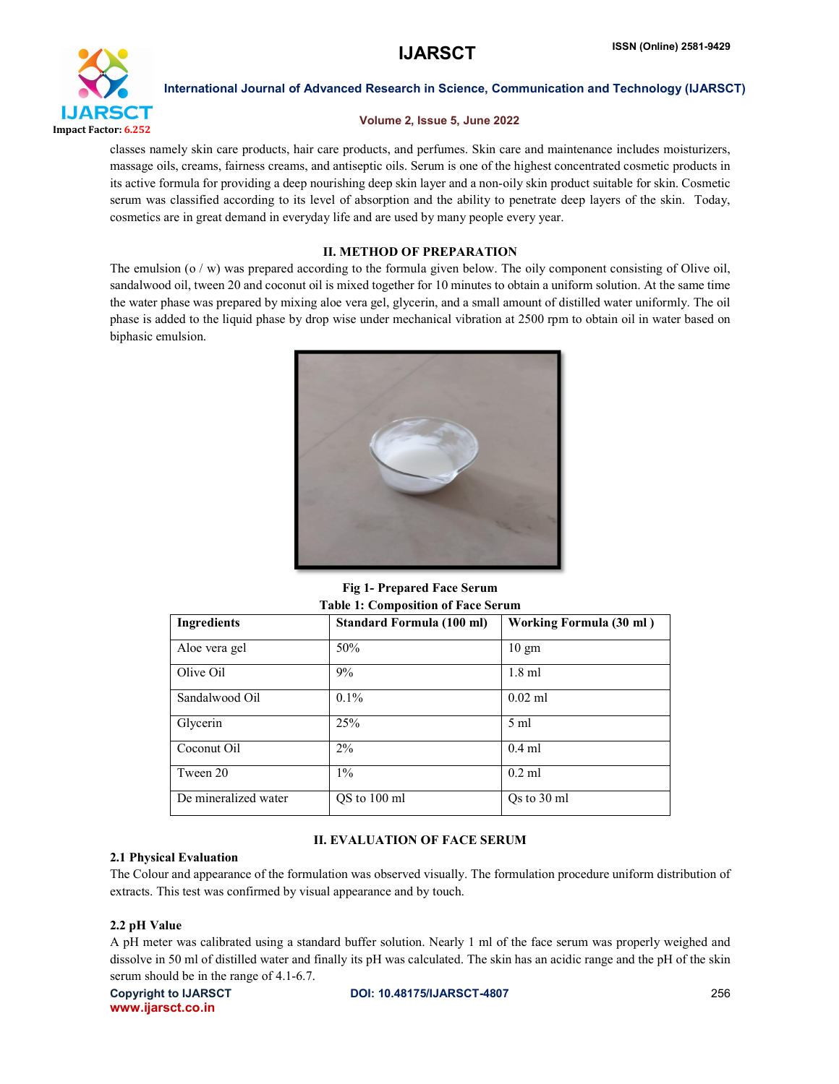

## Volume 2, Issue 5, June 2022

classes namely skin care products, hair care products, and perfumes. Skin care and maintenance includes moisturizers, massage oils, creams, fairness creams, and antiseptic oils. Serum is one of the highest concentrated cosmetic products in its active formula for providing a deep nourishing deep skin layer and a non-oily skin product suitable for skin. Cosmetic serum was classified according to its level of absorption and the ability to penetrate deep layers of the skin. Today, cosmetics are in great demand in everyday life and are used by many people every year.

# II. METHOD OF PREPARATION

The emulsion (o / w) was prepared according to the formula given below. The oily component consisting of Olive oil, sandalwood oil, tween 20 and coconut oil is mixed together for 10 minutes to obtain a uniform solution. At the same time the water phase was prepared by mixing aloe vera gel, glycerin, and a small amount of distilled water uniformly. The oil phase is added to the liquid phase by drop wise under mechanical vibration at 2500 rpm to obtain oil in water based on biphasic emulsion.



Fig 1- Prepared Face Serum Table 1: Composition of Face Serum

| Table 1: Composition of Face Serum |                           |                         |  |  |
|------------------------------------|---------------------------|-------------------------|--|--|
| Ingredients                        | Standard Formula (100 ml) | Working Formula (30 ml) |  |  |
| Aloe vera gel                      | 50%                       | $10 \text{ gm}$         |  |  |
| Olive Oil                          | 9%                        | $1.8$ ml                |  |  |
| Sandalwood Oil                     | $0.1\%$                   | $0.02$ ml               |  |  |
| Glycerin                           | 25%                       | $5 \text{ ml}$          |  |  |
| Coconut Oil                        | $2\%$                     | $0.4$ ml                |  |  |
| Tween 20                           | $1\%$                     | $0.2$ ml                |  |  |
| De mineralized water               | QS to 100 ml              | Qs to 30 ml             |  |  |

# II. EVALUATION OF FACE SERUM

#### 2.1 Physical Evaluation

The Colour and appearance of the formulation was observed visually. The formulation procedure uniform distribution of extracts. This test was confirmed by visual appearance and by touch.

# 2.2 pH Value

A pH meter was calibrated using a standard buffer solution. Nearly 1 ml of the face serum was properly weighed and dissolve in 50 ml of distilled water and finally its pH was calculated. The skin has an acidic range and the pH of the skin serum should be in the range of 4.1-6.7.

www.ijarsct.co.in

Copyright to IJARSCT **DOI: 10.48175/IJARSCT-4807** 256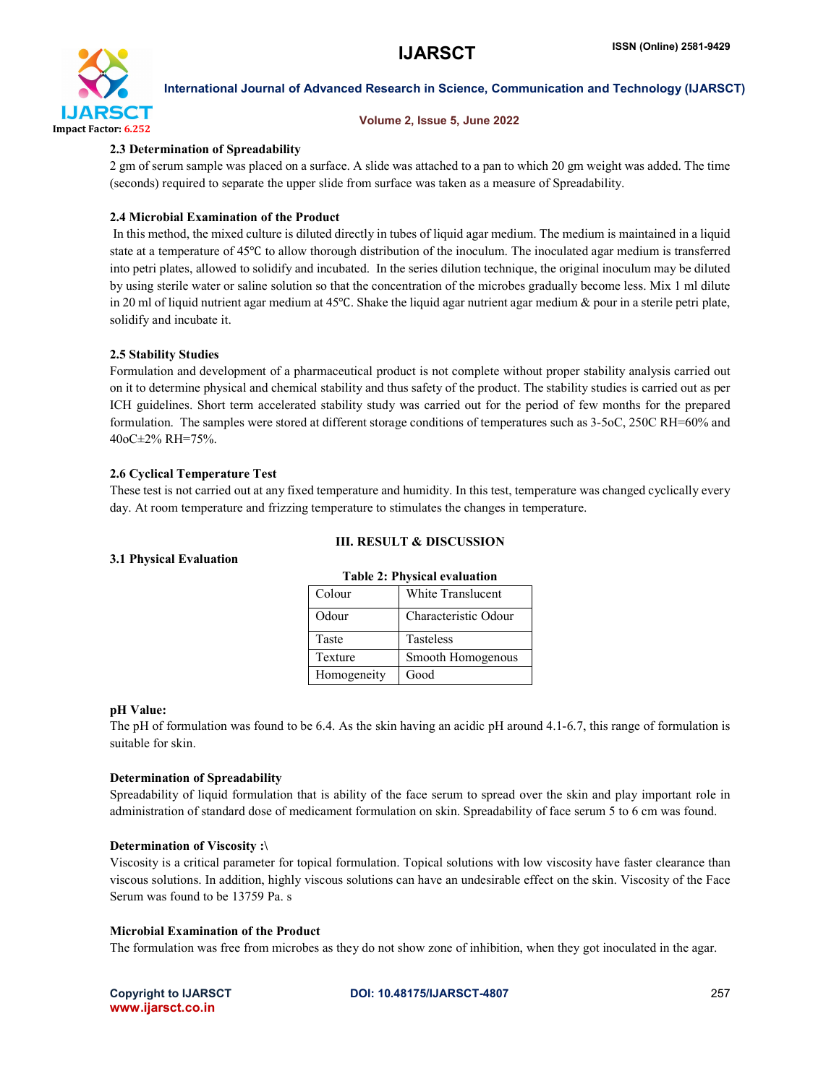

#### Volume 2, Issue 5, June 2022

### 2.3 Determination of Spreadability

2 gm of serum sample was placed on a surface. A slide was attached to a pan to which 20 gm weight was added. The time (seconds) required to separate the upper slide from surface was taken as a measure of Spreadability.

### 2.4 Microbial Examination of the Product

In this method, the mixed culture is diluted directly in tubes of liquid agar medium. The medium is maintained in a liquid state at a temperature of 45℃ to allow thorough distribution of the inoculum. The inoculated agar medium is transferred into petri plates, allowed to solidify and incubated. In the series dilution technique, the original inoculum may be diluted by using sterile water or saline solution so that the concentration of the microbes gradually become less. Mix 1 ml dilute in 20 ml of liquid nutrient agar medium at 45℃. Shake the liquid agar nutrient agar medium & pour in a sterile petri plate, solidify and incubate it.

#### 2.5 Stability Studies

Formulation and development of a pharmaceutical product is not complete without proper stability analysis carried out on it to determine physical and chemical stability and thus safety of the product. The stability studies is carried out as per ICH guidelines. Short term accelerated stability study was carried out for the period of few months for the prepared formulation. The samples were stored at different storage conditions of temperatures such as 3-5oC, 250C RH=60% and 40oC±2% RH=75%.

#### 2.6 Cyclical Temperature Test

These test is not carried out at any fixed temperature and humidity. In this test, temperature was changed cyclically every day. At room temperature and frizzing temperature to stimulates the changes in temperature.

#### III. RESULT & DISCUSSION

#### 3.1 Physical Evaluation

| <b>Table 2: Physical evaluation</b> |                      |  |
|-------------------------------------|----------------------|--|
| Colour                              | White Translucent    |  |
| Odour                               | Characteristic Odour |  |
| Taste                               | Tasteless            |  |
| Texture                             | Smooth Homogenous    |  |
| Homogeneity                         | Good                 |  |

#### pH Value:

The pH of formulation was found to be 6.4. As the skin having an acidic pH around 4.1-6.7, this range of formulation is suitable for skin.

#### Determination of Spreadability

Spreadability of liquid formulation that is ability of the face serum to spread over the skin and play important role in administration of standard dose of medicament formulation on skin. Spreadability of face serum 5 to 6 cm was found.

#### Determination of Viscosity :\

Viscosity is a critical parameter for topical formulation. Topical solutions with low viscosity have faster clearance than viscous solutions. In addition, highly viscous solutions can have an undesirable effect on the skin. Viscosity of the Face Serum was found to be 13759 Pa. s

### Microbial Examination of the Product

The formulation was free from microbes as they do not show zone of inhibition, when they got inoculated in the agar.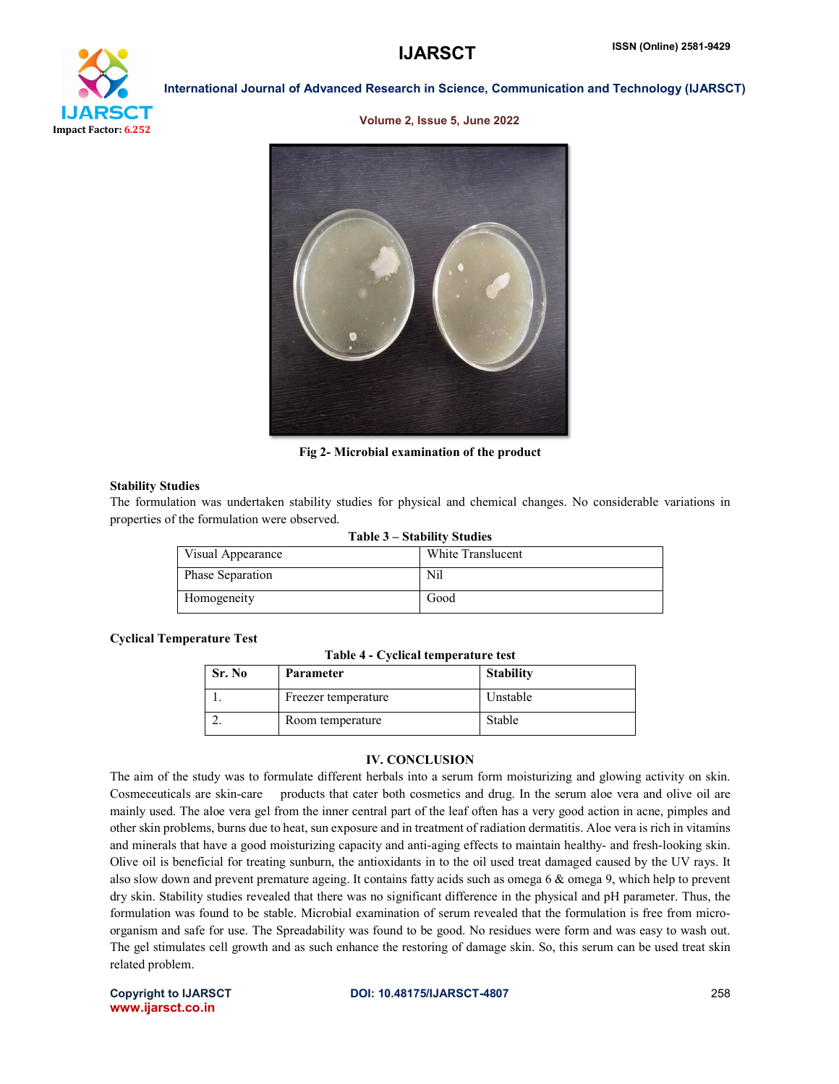

Volume 2, Issue 5, June 2022



Fig 2- Microbial examination of the product

#### Stability Studies

The formulation was undertaken stability studies for physical and chemical changes. No considerable variations in properties of the formulation were observed.

| Table 3 – Stability Studies |                   |  |  |
|-----------------------------|-------------------|--|--|
| Visual Appearance           | White Translucent |  |  |
| <b>Phase Separation</b>     | Nil               |  |  |
| Homogeneity                 | Good              |  |  |

### Cyclical Temperature Test

|  |  | Table 4 - Cyclical temperature test |  |
|--|--|-------------------------------------|--|
|--|--|-------------------------------------|--|

| Sr. No | <b>Parameter</b>    | <b>Stability</b> |
|--------|---------------------|------------------|
|        | Freezer temperature | Unstable         |
|        | Room temperature    | Stable           |

# IV. CONCLUSION

The aim of the study was to formulate different herbals into a serum form moisturizing and glowing activity on skin. Cosmeceuticals are skin-care products that cater both cosmetics and drug. In the serum aloe vera and olive oil are mainly used. The aloe vera gel from the inner central part of the leaf often has a very good action in acne, pimples and other skin problems, burns due to heat, sun exposure and in treatment of radiation dermatitis. Aloe vera is rich in vitamins and minerals that have a good moisturizing capacity and anti-aging effects to maintain healthy- and fresh-looking skin. Olive oil is beneficial for treating sunburn, the antioxidants in to the oil used treat damaged caused by the UV rays. It also slow down and prevent premature ageing. It contains fatty acids such as omega 6 & omega 9, which help to prevent dry skin. Stability studies revealed that there was no significant difference in the physical and pH parameter. Thus, the formulation was found to be stable. Microbial examination of serum revealed that the formulation is free from microorganism and safe for use. The Spreadability was found to be good. No residues were form and was easy to wash out. The gel stimulates cell growth and as such enhance the restoring of damage skin. So, this serum can be used treat skin related problem.

www.ijarsct.co.in

Copyright to IJARSCT **DOI: 10.48175/IJARSCT-4807** 258